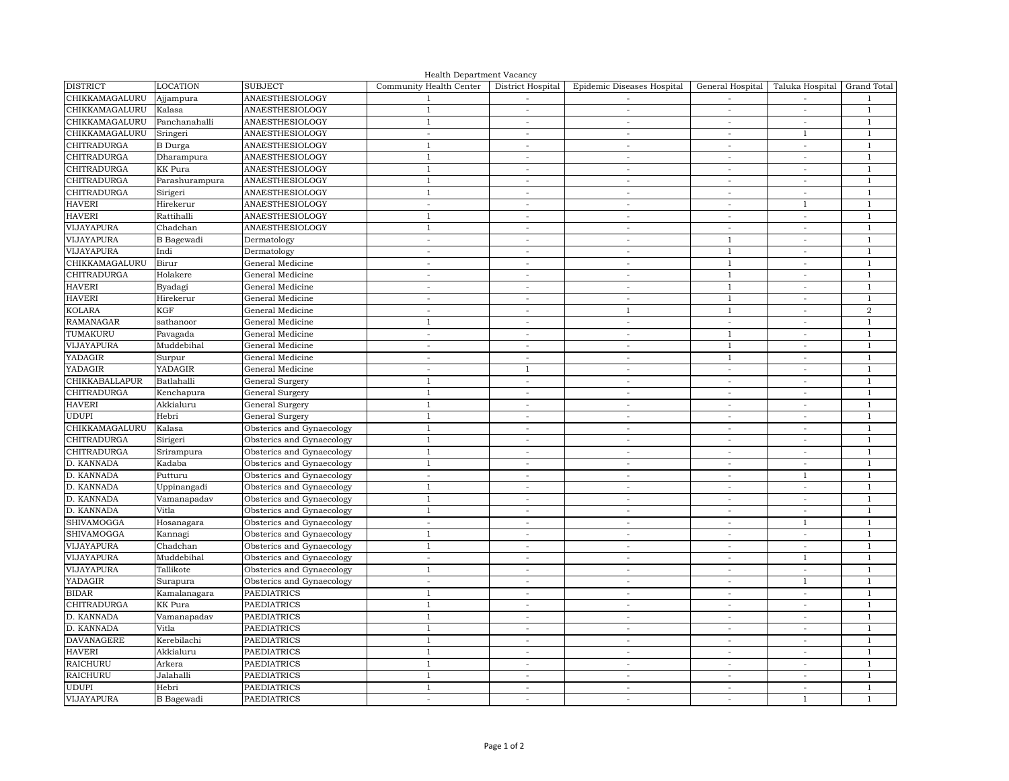| Health Department Vacancy |                      |                                                        |                                |                          |                            |                          |                                 |                              |  |  |  |  |
|---------------------------|----------------------|--------------------------------------------------------|--------------------------------|--------------------------|----------------------------|--------------------------|---------------------------------|------------------------------|--|--|--|--|
| <b>DISTRICT</b>           | <b>LOCATION</b>      | <b>SUBJECT</b>                                         | Community Health Center        | District Hospital        | Epidemic Diseases Hospital | General Hospital         | Taluka Hospital                 | Grand Total                  |  |  |  |  |
| CHIKKAMAGALURU            | Ajjampura            | <b>ANAESTHESIOLOGY</b>                                 |                                |                          |                            |                          |                                 | $\mathbf{1}$                 |  |  |  |  |
| CHIKKAMAGALURU            | Kalasa               | <b>ANAESTHESIOLOGY</b>                                 |                                | $\overline{\phantom{a}}$ | $\overline{\phantom{a}}$   |                          | $\overline{\phantom{a}}$        |                              |  |  |  |  |
| CHIKKAMAGALURU            | Panchanahalli        | <b>ANAESTHESIOLOGY</b>                                 | $\mathbf{1}$                   | $\overline{\phantom{a}}$ | $\overline{\phantom{a}}$   | $\overline{\phantom{a}}$ | $\overline{\phantom{a}}$        | $\mathbf{1}$                 |  |  |  |  |
| CHIKKAMAGALURU            | Sringeri             | <b>ANAESTHESIOLOGY</b>                                 |                                | $\overline{\phantom{a}}$ | $\overline{\phantom{a}}$   | $\overline{\phantom{a}}$ | - 1                             | 1                            |  |  |  |  |
| <b>CHITRADURGA</b>        | <b>B</b> Durga       | <b>ANAESTHESIOLOGY</b>                                 |                                | $\overline{\phantom{a}}$ | $\overline{\phantom{a}}$   | $\overline{\phantom{a}}$ | $\overline{\phantom{a}}$        | $\mathbf{1}$                 |  |  |  |  |
| <b>CHITRADURGA</b>        | Dharampura           | <b>ANAESTHESIOLOGY</b>                                 | -1                             | $\overline{\phantom{a}}$ | $\overline{\phantom{a}}$   |                          | $\overline{\phantom{a}}$        | $\mathbf{1}$                 |  |  |  |  |
| <b>CHITRADURGA</b>        | <b>KK</b> Pura       | <b>ANAESTHESIOLOGY</b>                                 |                                | $\overline{\phantom{a}}$ | $\overline{\phantom{a}}$   | $\overline{\phantom{a}}$ | $\overline{\phantom{a}}$        |                              |  |  |  |  |
| <b>CHITRADURGA</b>        | Parashurampura       | <b>ANAESTHESIOLOGY</b>                                 |                                | $\overline{\phantom{a}}$ |                            | $\overline{\phantom{a}}$ | $\overline{\phantom{a}}$        | $\mathbf{1}$                 |  |  |  |  |
| <b>CHITRADURGA</b>        | Sirigeri             | <b>ANAESTHESIOLOGY</b>                                 | - 1                            | $\overline{\phantom{a}}$ | $\overline{\phantom{a}}$   | $\overline{\phantom{a}}$ | $\overline{\phantom{a}}$        | -1                           |  |  |  |  |
| <b>HAVERI</b>             | Hirekerur            | <b>ANAESTHESIOLOGY</b>                                 | $\overline{\phantom{a}}$       | $\overline{\phantom{a}}$ | $\overline{\phantom{a}}$   | $\overline{\phantom{a}}$ |                                 | $\mathbf{1}$                 |  |  |  |  |
| <b>HAVERI</b>             | Rattihalli           | <b>ANAESTHESIOLOGY</b>                                 | -1                             | $\overline{\phantom{a}}$ | $\overline{\phantom{a}}$   | $\overline{\phantom{a}}$ | $\overline{\phantom{a}}$        | $\mathbf{1}$                 |  |  |  |  |
| VIJAYAPURA                | Chadchan             | <b>ANAESTHESIOLOGY</b>                                 | -1                             | $\overline{\phantom{a}}$ | $\overline{\phantom{a}}$   | $\overline{\phantom{a}}$ | $\overline{\phantom{a}}$        | $\mathbf{1}$                 |  |  |  |  |
| <b>VIJAYAPURA</b>         | <b>B</b> Bagewadi    | Dermatology                                            |                                | $\overline{\phantom{a}}$ |                            | $\overline{\phantom{a}}$ | $\overline{\phantom{a}}$        | $\mathbf{1}$                 |  |  |  |  |
| VIJAYAPURA                | Indi                 | Dermatology                                            |                                | $\overline{\phantom{a}}$ | $\overline{\phantom{a}}$   | $\lceil$                 |                                 | -1                           |  |  |  |  |
| CHIKKAMAGALURU            | Birur                | General Medicine                                       |                                | $\overline{\phantom{a}}$ | $\overline{\phantom{a}}$   | -1                       |                                 | $\mathbf{1}$                 |  |  |  |  |
| <b>CHITRADURGA</b>        | Holakere             | General Medicine                                       |                                | $\overline{\phantom{a}}$ | $\blacksquare$             |                          | $\overline{\phantom{a}}$        | $\mathbf{1}$                 |  |  |  |  |
| <b>HAVERI</b>             | Byadagi              | General Medicine                                       |                                | $\overline{\phantom{a}}$ | $\overline{\phantom{a}}$   | - 1                      | $\overline{\phantom{a}}$        | $\mathbf{1}$                 |  |  |  |  |
| <b>HAVERI</b>             | Hirekerur            | General Medicine                                       |                                | $\overline{\phantom{a}}$ |                            |                          | $\overline{\phantom{a}}$        | $\mathbf{1}$                 |  |  |  |  |
| <b>KOLARA</b>             | <b>KGF</b>           | General Medicine                                       |                                | $\overline{\phantom{0}}$ |                            | $\lceil$                 |                                 | $\overline{a}$               |  |  |  |  |
| <b>RAMANAGAR</b>          | sathanoor            | General Medicine                                       | $\mathbf{1}$                   | $\overline{\phantom{a}}$ | $\overline{\phantom{a}}$   | $\overline{\phantom{a}}$ | $\overline{\phantom{a}}$        | 1                            |  |  |  |  |
| TUMAKURU                  | Pavagada             | General Medicine                                       |                                | $\overline{\phantom{a}}$ |                            | $\overline{1}$           |                                 | $\overline{1}$               |  |  |  |  |
| VIJAYAPURA                | Muddebihal           | General Medicine                                       | $\overline{\phantom{a}}$       | $\overline{\phantom{a}}$ | $\overline{\phantom{a}}$   | -1                       | $\overline{\phantom{a}}$        | -1                           |  |  |  |  |
| <b>YADAGIR</b>            | Surpur               | General Medicine                                       |                                | $\overline{\phantom{a}}$ | $\overline{\phantom{a}}$   |                          | $\overline{\phantom{a}}$        |                              |  |  |  |  |
| YADAGIR                   | YADAGIR              | General Medicine                                       |                                |                          | $\overline{\phantom{a}}$   | $\overline{\phantom{a}}$ |                                 | $\mathbf{1}$                 |  |  |  |  |
| <b>CHIKKABALLAPUR</b>     | Batlahalli           | General Surgery                                        |                                | $\overline{\phantom{a}}$ |                            | $\overline{\phantom{a}}$ |                                 | $\mathbf 1$                  |  |  |  |  |
| <b>CHITRADURGA</b>        | Kenchapura           | General Surgery                                        |                                | $\overline{\phantom{a}}$ | $\overline{\phantom{a}}$   | $\overline{\phantom{a}}$ | $\overline{\phantom{a}}$        | $\overline{1}$               |  |  |  |  |
| <b>HAVERI</b>             | Akkialuru            | General Surgery                                        | -1                             | $\overline{\phantom{a}}$ | $\overline{\phantom{a}}$   | $-$                      | $\overline{\phantom{a}}$        | $\overline{1}$               |  |  |  |  |
| <b>UDUPI</b>              | Hebri                | General Surgery                                        | -1                             | $\overline{\phantom{a}}$ | $\overline{\phantom{a}}$   | $\overline{\phantom{a}}$ | $\overline{\phantom{a}}$        | $\overline{1}$               |  |  |  |  |
| CHIKKAMAGALURU            | Kalasa               | Obsterics and Gynaecology                              |                                |                          |                            |                          |                                 |                              |  |  |  |  |
| <b>CHITRADURGA</b>        |                      | Obsterics and Gynaecology                              |                                |                          |                            |                          |                                 |                              |  |  |  |  |
| <b>CHITRADURGA</b>        | Sirigeri             | Obsterics and Gynaecology                              |                                |                          |                            |                          |                                 | $\overline{1}$               |  |  |  |  |
| D. KANNADA                | Srirampura<br>Kadaba | Obsterics and Gynaecology                              |                                | $\overline{\phantom{a}}$ |                            |                          |                                 | $\mathbf{1}$                 |  |  |  |  |
| D. KANNADA                | Putturu              | Obsterics and Gynaecology                              |                                | $\overline{\phantom{a}}$ | $\overline{\phantom{a}}$   | $-$                      | $\mathbf{1}$                    | $\mathbf{1}$                 |  |  |  |  |
| D. KANNADA                |                      | Obsterics and Gynaecology                              |                                | $\overline{\phantom{a}}$ | $\overline{\phantom{a}}$   |                          |                                 | -1                           |  |  |  |  |
| D. KANNADA                | Uppinangadi          |                                                        | $\overline{1}$                 | $\overline{\phantom{a}}$ | $\overline{\phantom{a}}$   | $\overline{\phantom{a}}$ | $\overline{\phantom{a}}$        | $\mathbf{1}$                 |  |  |  |  |
| D. KANNADA                | Vamanapadav          | Obsterics and Gynaecology                              |                                | $\overline{\phantom{a}}$ | $\overline{\phantom{a}}$   | $\overline{\phantom{a}}$ | $\overline{\phantom{a}}$        |                              |  |  |  |  |
| <b>SHIVAMOGGA</b>         | Vitla                | Obsterics and Gynaecology<br>Obsterics and Gynaecology | $\mathbf{1}$                   | $\overline{\phantom{a}}$ | $\overline{\phantom{a}}$   | $\overline{\phantom{a}}$ | $\overline{\phantom{a}}$        | $\mathbf{1}$<br>$\mathbf{1}$ |  |  |  |  |
| <b>SHIVAMOGGA</b>         | Hosanagara           | Obsterics and Gynaecology                              | $\overline{\phantom{a}}$<br>-1 | $\overline{\phantom{a}}$ | $\overline{\phantom{a}}$   | $\overline{\phantom{a}}$ |                                 | $\mathbf{1}$                 |  |  |  |  |
| VIJAYAPURA                | Kannagi<br>Chadchan  |                                                        |                                | $\overline{\phantom{a}}$ | $\overline{\phantom{a}}$   | $\overline{\phantom{a}}$ | $\overline{\phantom{a}}$        | -1                           |  |  |  |  |
| <b>VIJAYAPURA</b>         | Muddebihal           | Obsterics and Gynaecology                              |                                | $\overline{\phantom{a}}$ | $\overline{\phantom{a}}$   | $\overline{\phantom{a}}$ | $\overline{\phantom{a}}$        | $\overline{1}$               |  |  |  |  |
|                           |                      | Obsterics and Gynaecology                              | $\overline{\phantom{a}}$       | $\overline{\phantom{a}}$ | $\overline{\phantom{a}}$   |                          |                                 |                              |  |  |  |  |
| VIJAYAPURA                | Tallikote            | Obsterics and Gynaecology                              | $\mathbf{1}$                   | $\overline{\phantom{a}}$ |                            |                          | $\overline{\phantom{a}}$<br>- 1 | $\mathbf{1}$                 |  |  |  |  |
| <b>YADAGIR</b>            | Surapura             | Obsterics and Gynaecology                              | $\overline{\phantom{a}}$       | $\overline{\phantom{a}}$ | $\overline{\phantom{a}}$   | $\overline{\phantom{a}}$ |                                 | 1                            |  |  |  |  |
| <b>BIDAR</b>              | Kamalanagara         | <b>PAEDIATRICS</b>                                     | -1                             | $\overline{\phantom{a}}$ | $\overline{\phantom{a}}$   | $\overline{\phantom{a}}$ | $\overline{\phantom{a}}$        | $\mathbf{1}$                 |  |  |  |  |
| <b>CHITRADURGA</b>        | <b>KK</b> Pura       | <b>PAEDIATRICS</b>                                     | $\overline{1}$                 | $\overline{\phantom{a}}$ | $\overline{\phantom{a}}$   | $\sim$                   | $\overline{\phantom{a}}$        | $\mathbf{1}$                 |  |  |  |  |
| D. KANNADA                | Vamanapadav          | <b>PAEDIATRICS</b>                                     |                                | $\overline{\phantom{a}}$ |                            |                          |                                 | $\mathbf{1}$                 |  |  |  |  |
| D. KANNADA                | Vitla                | <b>PAEDIATRICS</b>                                     | $\overline{1}$                 | $\overline{\phantom{a}}$ | $\overline{\phantom{a}}$   | $\overline{\phantom{a}}$ | $\overline{\phantom{a}}$        | $\mathbf{1}$                 |  |  |  |  |
| <b>DAVANAGERE</b>         | Kerebilachi          | <b>PAEDIATRICS</b>                                     | -1                             | $\overline{\phantom{a}}$ | $\overline{\phantom{a}}$   | $\overline{\phantom{a}}$ | $\overline{\phantom{a}}$        | 1                            |  |  |  |  |
| <b>HAVERI</b>             | Akkialuru            | <b>PAEDIATRICS</b>                                     |                                | $\overline{\phantom{a}}$ | $\overline{\phantom{a}}$   |                          |                                 | $\mathbf{1}$                 |  |  |  |  |
| <b>RAICHURU</b>           | Arkera               | <b>PAEDIATRICS</b>                                     | - 1                            | $\overline{\phantom{a}}$ | $\overline{\phantom{a}}$   | $-$                      | $\overline{\phantom{a}}$        | $\overline{1}$               |  |  |  |  |
| <b>RAICHURU</b>           | Jalahalli            | <b>PAEDIATRICS</b>                                     |                                | $\overline{\phantom{a}}$ | $\overline{\phantom{a}}$   | $\overline{\phantom{a}}$ | $\overline{\phantom{a}}$        | $\mathbf{1}$                 |  |  |  |  |
| <b>UDUPI</b>              | Hebri                | <b>PAEDIATRICS</b>                                     | $\mathbf{1}$                   | $\overline{\phantom{a}}$ | $\overline{\phantom{a}}$   | $\overline{\phantom{a}}$ | $\overline{\phantom{a}}$        | $\mathbf{1}$                 |  |  |  |  |
| <b>VIJAYAPURA</b>         | <b>B</b> Bagewadi    | <b>PAEDIATRICS</b>                                     | $\overline{\phantom{a}}$       | $\overline{\phantom{a}}$ | $\overline{\phantom{a}}$   | $\overline{\phantom{a}}$ | - 1                             | $\mathbf{1}$                 |  |  |  |  |